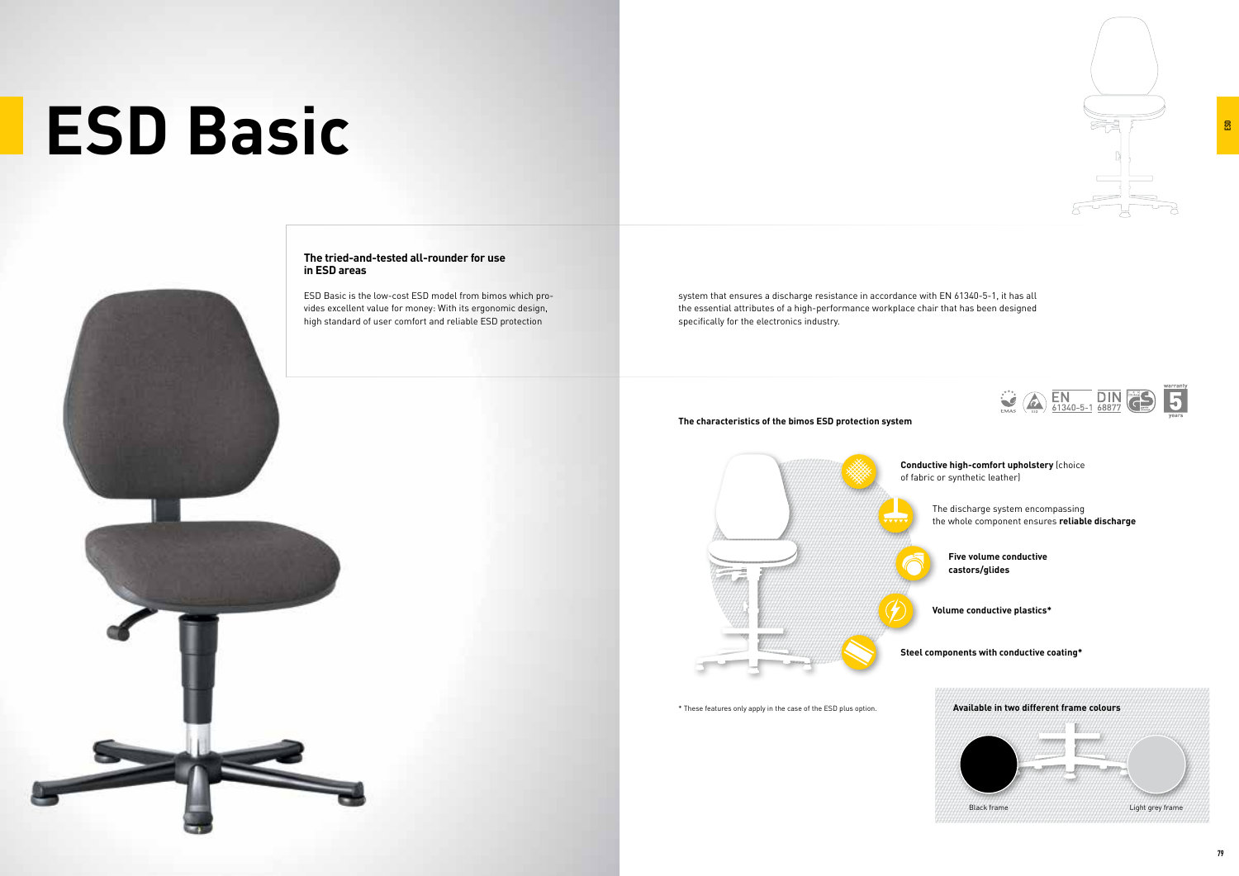# **ESD Basic**

system that ensures a discharge resistance in accordance with EN 61340-5-1, it has all the essential attributes of a high-performance workplace chair that has been designed specifically for the electronics industry.

- **Conductive high-comfort upholstery** (choice of fabric or synthetic leather)
	- The discharge system encompassing the whole component ensures **reliable discharge** 
		- **Five volume conductive castors/glides**
	- **Volume conductive plastics\***
- **Steel components with conductive coating\***

#### **The characteristics of the bimos ESD protection system**











ESD Basic is the low-cost ESD model from bimos which provides excellent value for money: With its ergonomic design, high standard of user comfort and reliable ESD protection